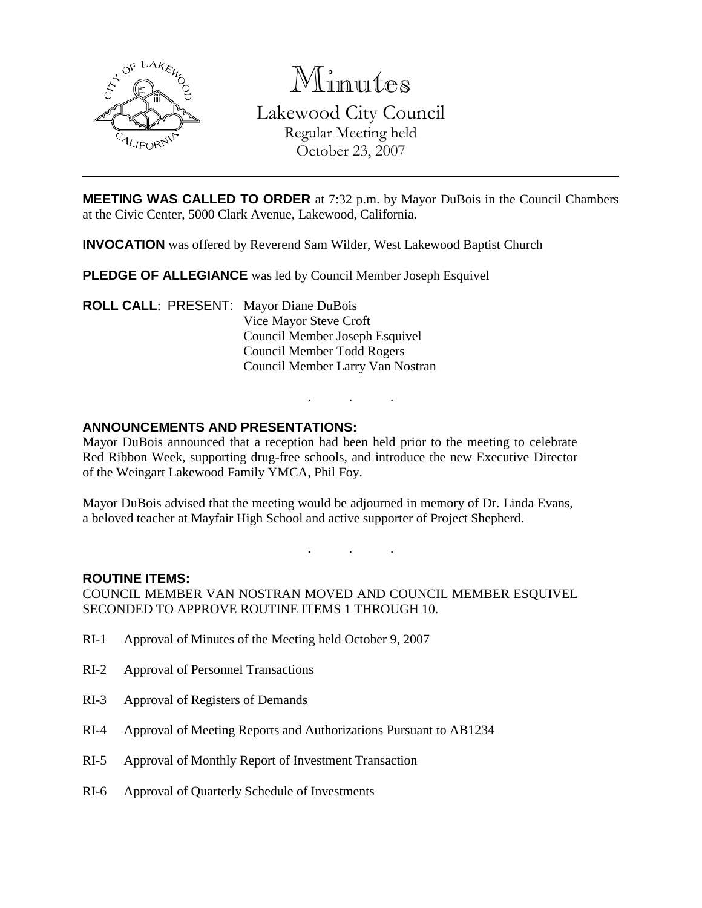

Minutes Lakewood City Council Regular Meeting held October 23, 2007

**MEETING WAS CALLED TO ORDER** at 7:32 p.m. by Mayor DuBois in the Council Chambers at the Civic Center, 5000 Clark Avenue, Lakewood, California.

**INVOCATION** was offered by Reverend Sam Wilder, West Lakewood Baptist Church

**PLEDGE OF ALLEGIANCE** was led by Council Member Joseph Esquivel

**ROLL CALL**: PRESENT: Mayor Diane DuBois Vice Mayor Steve Croft Council Member Joseph Esquivel Council Member Todd Rogers Council Member Larry Van Nostran

## **ANNOUNCEMENTS AND PRESENTATIONS:**

Mayor DuBois announced that a reception had been held prior to the meeting to celebrate Red Ribbon Week, supporting drug-free schools, and introduce the new Executive Director of the Weingart Lakewood Family YMCA, Phil Foy.

. . .

Mayor DuBois advised that the meeting would be adjourned in memory of Dr. Linda Evans, a beloved teacher at Mayfair High School and active supporter of Project Shepherd.

. . .

### **ROUTINE ITEMS:**

COUNCIL MEMBER VAN NOSTRAN MOVED AND COUNCIL MEMBER ESQUIVEL SECONDED TO APPROVE ROUTINE ITEMS 1 THROUGH 10.

- RI-1 Approval of Minutes of the Meeting held October 9, 2007
- RI-2 Approval of Personnel Transactions
- RI-3 Approval of Registers of Demands
- RI-4 Approval of Meeting Reports and Authorizations Pursuant to AB1234
- RI-5 Approval of Monthly Report of Investment Transaction
- RI-6 Approval of Quarterly Schedule of Investments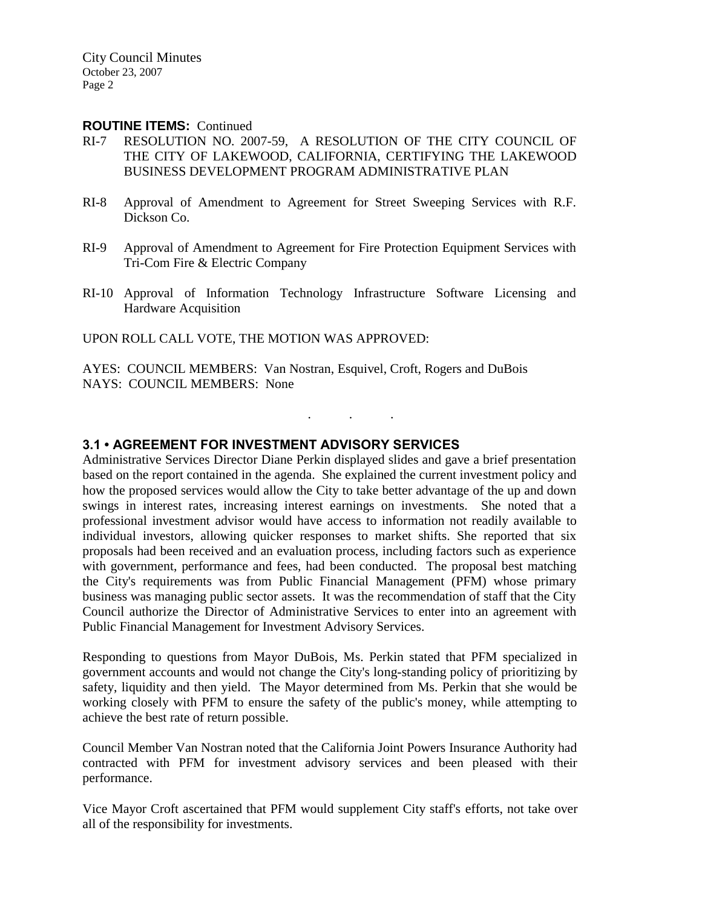### **ROUTINE ITEMS:** Continued

- RI-7 RESOLUTION NO. 2007-59, A RESOLUTION OF THE CITY COUNCIL OF THE CITY OF LAKEWOOD, CALIFORNIA, CERTIFYING THE LAKEWOOD BUSINESS DEVELOPMENT PROGRAM ADMINISTRATIVE PLAN
- RI-8 Approval of Amendment to Agreement for Street Sweeping Services with R.F. Dickson Co.
- RI-9 Approval of Amendment to Agreement for Fire Protection Equipment Services with Tri-Com Fire & Electric Company
- RI-10 Approval of Information Technology Infrastructure Software Licensing and Hardware Acquisition

. . .

UPON ROLL CALL VOTE, THE MOTION WAS APPROVED:

AYES: COUNCIL MEMBERS: Van Nostran, Esquivel, Croft, Rogers and DuBois NAYS: COUNCIL MEMBERS: None

## **3.1 • AGREEMENT FOR INVESTMENT ADVISORY SERVICES**

Administrative Services Director Diane Perkin displayed slides and gave a brief presentation based on the report contained in the agenda. She explained the current investment policy and how the proposed services would allow the City to take better advantage of the up and down swings in interest rates, increasing interest earnings on investments. She noted that a professional investment advisor would have access to information not readily available to individual investors, allowing quicker responses to market shifts. She reported that six proposals had been received and an evaluation process, including factors such as experience with government, performance and fees, had been conducted. The proposal best matching the City's requirements was from Public Financial Management (PFM) whose primary business was managing public sector assets. It was the recommendation of staff that the City Council authorize the Director of Administrative Services to enter into an agreement with Public Financial Management for Investment Advisory Services.

Responding to questions from Mayor DuBois, Ms. Perkin stated that PFM specialized in government accounts and would not change the City's long-standing policy of prioritizing by safety, liquidity and then yield. The Mayor determined from Ms. Perkin that she would be working closely with PFM to ensure the safety of the public's money, while attempting to achieve the best rate of return possible.

Council Member Van Nostran noted that the California Joint Powers Insurance Authority had contracted with PFM for investment advisory services and been pleased with their performance.

Vice Mayor Croft ascertained that PFM would supplement City staff's efforts, not take over all of the responsibility for investments.